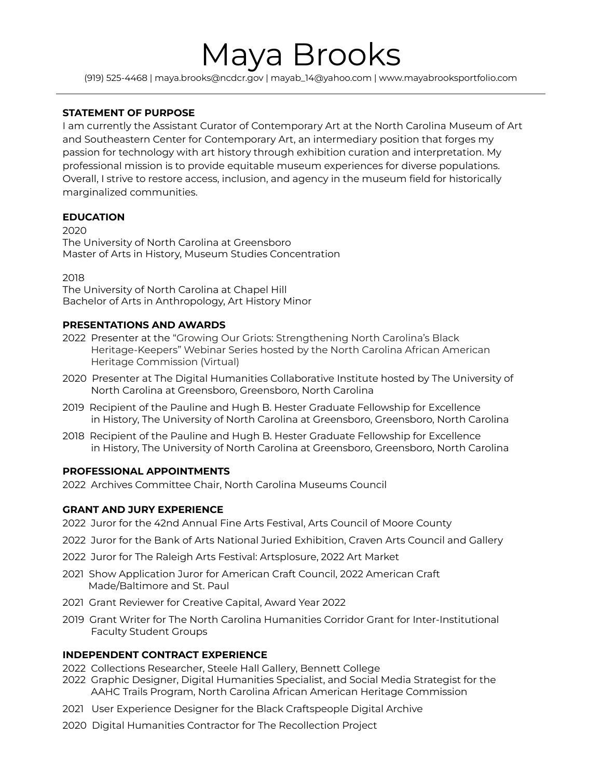# Maya Brooks

(919) 525-4468 | maya.brooks@ncdcr.gov | mayab\_14@yahoo.com | www.mayabrooksportfolio.com

# **STATEMENT OF PURPOSE**

I am currently the Assistant Curator of Contemporary Art at the North Carolina Museum of Art and Southeastern Center for Contemporary Art, an intermediary position that forges my passion for technology with art history through exhibition curation and interpretation. My professional mission is to provide equitable museum experiences for diverse populations. Overall, I strive to restore access, inclusion, and agency in the museum field for historically marginalized communities.

## **EDUCATION**

2020

The University of North Carolina at Greensboro Master of Arts in History, Museum Studies Concentration

2018

The University of North Carolina at Chapel Hill Bachelor of Arts in Anthropology, Art History Minor

# **PRESENTATIONS AND AWARDS**

- 2022 Presenter at the "Growing Our Griots: Strengthening North Carolina's Black Heritage-Keepers" Webinar Series hosted by the North Carolina African American Heritage Commission (Virtual)
- 2020 Presenter at The Digital Humanities Collaborative Institute hosted by The University of North Carolina at Greensboro, Greensboro, North Carolina
- 2019 Recipient of the Pauline and Hugh B. Hester Graduate Fellowship for Excellence in History, The University of North Carolina at Greensboro, Greensboro, North Carolina
- 2018 Recipient of the Pauline and Hugh B. Hester Graduate Fellowship for Excellence in History, The University of North Carolina at Greensboro, Greensboro, North Carolina

## **PROFESSIONAL APPOINTMENTS**

2022 Archives Committee Chair, North Carolina Museums Council

## **GRANT AND JURY EXPERIENCE**

- 2022 Juror for the 42nd Annual Fine Arts Festival, Arts Council of Moore County
- 2022 Juror for the Bank of Arts National Juried Exhibition, Craven Arts Council and Gallery
- 2022 Juror for The Raleigh Arts Festival: Artsplosure, 2022 Art Market
- 2021 Show Application Juror for American Craft Council, 2022 American Craft Made/Baltimore and St. Paul
- 2021 Grant Reviewer for Creative Capital, Award Year 2022
- 2019 Grant Writer for The North Carolina Humanities Corridor Grant for Inter-Institutional Faculty Student Groups

## **INDEPENDENT CONTRACT EXPERIENCE**

- 2022 Collections Researcher, Steele Hall Gallery, Bennett College
- 2022 Graphic Designer, Digital Humanities Specialist, and Social Media Strategist for the AAHC Trails Program, North Carolina African American Heritage Commission
- 2021 User Experience Designer for the Black Craftspeople Digital Archive
- 2020 Digital Humanities Contractor for The Recollection Project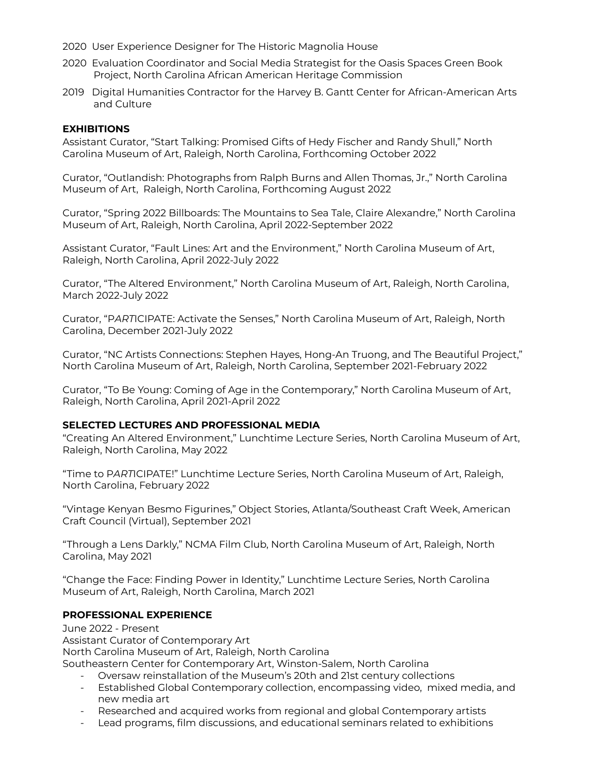- 2020 User Experience Designer for The Historic Magnolia House
- 2020 Evaluation Coordinator and Social Media Strategist for the Oasis Spaces Green Book Project, North Carolina African American Heritage Commission
- 2019 Digital Humanities Contractor for the Harvey B. Gantt Center for African-American Arts and Culture

## **EXHIBITIONS**

Assistant Curator, "Start Talking: Promised Gifts of Hedy Fischer and Randy Shull," North Carolina Museum of Art, Raleigh, North Carolina, Forthcoming October 2022

Curator, "Outlandish: Photographs from Ralph Burns and Allen Thomas, Jr.," North Carolina Museum of Art, Raleigh, North Carolina, Forthcoming August 2022

Curator, "Spring 2022 Billboards: The Mountains to Sea Tale, Claire Alexandre," North Carolina Museum of Art, Raleigh, North Carolina, April 2022-September 2022

Assistant Curator, "Fault Lines: Art and the Environment," North Carolina Museum of Art, Raleigh, North Carolina, April 2022-July 2022

Curator, "The Altered Environment," North Carolina Museum of Art, Raleigh, North Carolina, March 2022-July 2022

Curator, "P*ART*ICIPATE: Activate the Senses," North Carolina Museum of Art, Raleigh, North Carolina, December 2021-July 2022

Curator, "NC Artists Connections: Stephen Hayes, Hong-An Truong, and The Beautiful Project," North Carolina Museum of Art, Raleigh, North Carolina, September 2021-February 2022

Curator, "To Be Young: Coming of Age in the Contemporary," North Carolina Museum of Art, Raleigh, North Carolina, April 2021-April 2022

#### **SELECTED LECTURES AND PROFESSIONAL MEDIA**

"Creating An Altered Environment," Lunchtime Lecture Series, North Carolina Museum of Art, Raleigh, North Carolina, May 2022

"Time to P*ART*ICIPATE!" Lunchtime Lecture Series, North Carolina Museum of Art, Raleigh, North Carolina, February 2022

"Vintage Kenyan Besmo Figurines," Object Stories, Atlanta/Southeast Craft Week, American Craft Council (Virtual), September 2021

"Through a Lens Darkly," NCMA Film Club, North Carolina Museum of Art, Raleigh, North Carolina, May 2021

"Change the Face: Finding Power in Identity," Lunchtime Lecture Series, North Carolina Museum of Art, Raleigh, North Carolina, March 2021

#### **PROFESSIONAL EXPERIENCE**

June 2022 - Present Assistant Curator of Contemporary Art North Carolina Museum of Art, Raleigh, North Carolina Southeastern Center for Contemporary Art, Winston-Salem, North Carolina

- Oversaw reinstallation of the Museum's 20th and 21st century collections
- Established Global Contemporary collection, encompassing video, mixed media, and new media art
- Researched and acquired works from regional and global Contemporary artists
- Lead programs, film discussions, and educational seminars related to exhibitions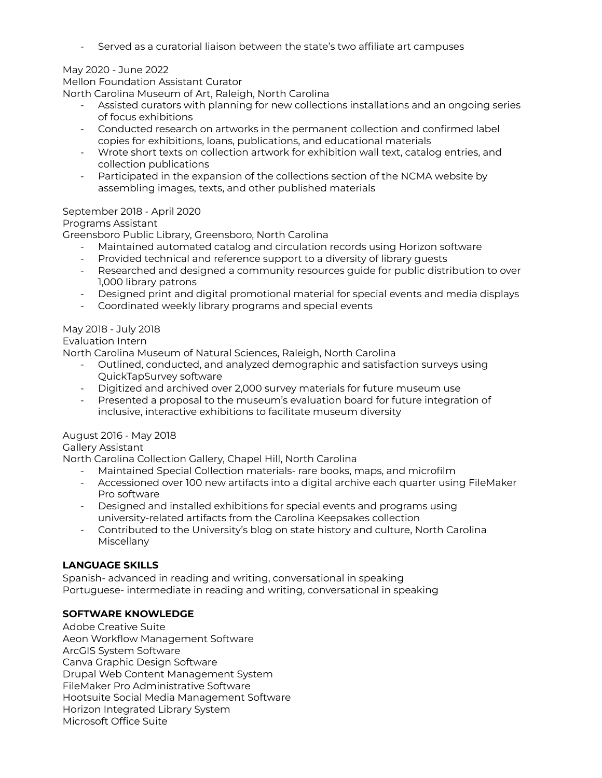- Served as a curatorial liaison between the state's two affiliate art campuses

# May 2020 - June 2022

Mellon Foundation Assistant Curator

North Carolina Museum of Art, Raleigh, North Carolina

- Assisted curators with planning for new collections installations and an ongoing series of focus exhibitions
- Conducted research on artworks in the permanent collection and confirmed label copies for exhibitions, loans, publications, and educational materials
- Wrote short texts on collection artwork for exhibition wall text, catalog entries, and collection publications
- Participated in the expansion of the collections section of the NCMA website by assembling images, texts, and other published materials

## September 2018 - April 2020

## Programs Assistant

Greensboro Public Library, Greensboro, North Carolina

- Maintained automated catalog and circulation records using Horizon software
- Provided technical and reference support to a diversity of library guests
- Researched and designed a community resources guide for public distribution to over 1,000 library patrons
- Designed print and digital promotional material for special events and media displays
- Coordinated weekly library programs and special events

# May 2018 - July 2018

## Evaluation Intern

North Carolina Museum of Natural Sciences, Raleigh, North Carolina

- Outlined, conducted, and analyzed demographic and satisfaction surveys using QuickTapSurvey software
- Digitized and archived over 2,000 survey materials for future museum use
- Presented a proposal to the museum's evaluation board for future integration of inclusive, interactive exhibitions to facilitate museum diversity

## August 2016 - May 2018

Gallery Assistant

North Carolina Collection Gallery, Chapel Hill, North Carolina

- Maintained Special Collection materials- rare books, maps, and microfilm
- Accessioned over 100 new artifacts into a digital archive each quarter using FileMaker Pro software
- Designed and installed exhibitions for special events and programs using university-related artifacts from the Carolina Keepsakes collection
- Contributed to the University's blog on state history and culture, North Carolina Miscellany

## **LANGUAGE SKILLS**

Spanish- advanced in reading and writing, conversational in speaking Portuguese- intermediate in reading and writing, conversational in speaking

## **SOFTWARE KNOWLEDGE**

Adobe Creative Suite Aeon Workflow Management Software ArcGIS System Software Canva Graphic Design Software Drupal Web Content Management System FileMaker Pro Administrative Software Hootsuite Social Media Management Software Horizon Integrated Library System Microsoft Office Suite